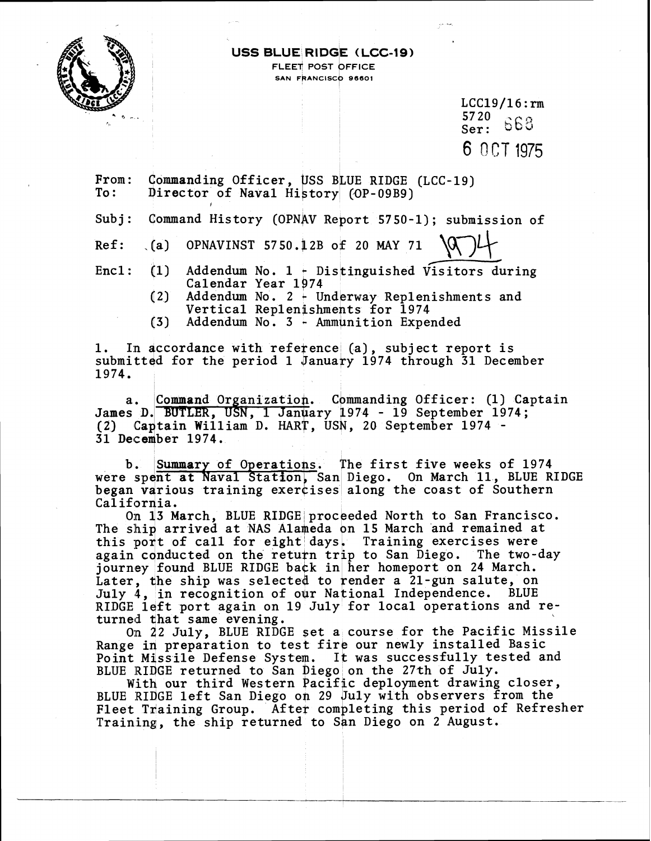

#### **USS BLUE RIDGE (LCC-19) FLEET POST OFFICE SAN FRANCISCO 96601**

 $LCC19/16$ : rm  $\frac{5720}{56}$  663 Ser : 6 OCT 1975

From: Commanding Officer, USS BLUE RIDGE (LCC-19)<br>To: Director of Naval History (OP-09B9) Director of Naval History (OP-09B9)

Subj: Command History (OPNAV Report 5750-1); submission of

Ref: . (a) OPNAVINST 5750.12B of 20 MAY 71

Encl: (1) Addendum No. 1 - Distinguished Vis xlto-19)<br>
(1); submission of<br>
Visitors during<br>
mishwants and Calendar Year 1974

- (2) Addendum No. 2 **c** Underway Replenishments and Vertical Replenishments for 1974
- (3) Addendum No. 3 Ammunition Expended

1. In accordance with reference (a), subject report is submitted for the period 1 January 1974 through 31 December 1974.

a. Command Organization. Commanding Officer: (1) Captain James D. BUTLER, USN, 1 January 1974 - 19 September 1974;  $a.$ (2) Captain William D. HART, USN, 20 September 1974 -31 December 1974.

b. Summary of Operations. The first five weeks of 1974 were spent at Naval Station, San Diego. On March 11, BLUE RIDGE began various training exercises along the coast of Southern California.

On 13 March, BLUE RIDGE proceeded North to San Francisco. The ship arrived at NAS Alameda on 15 March and remained at this port of call for eight days. Training exercises were again conducted on the return trip to San Diego. The two-day journey found BLUE RIDGE back in her homeport on 24 March. Later, the ship was selected to render a 21-gun salute, on July 4, in recognition of our National Independence. BLUE RIDGE left port again on 19 July for local operations and returned that same evening.

On 22 July, BLUE RIDGE set a course for the Pacific Missile Range in preparation to test fire our newly installed Basic Point Missile Defense System. It was successfully tested and BLUE RIDGE returned to San Diego on the 27th of July.

With our third Western Pacific deployment drawing closer, BLUE RIDGE left San Diego on 29 July with observers from the Fleet Training Group. After completing this period of Refresher Training, the ship returned to San Diego on 2 August.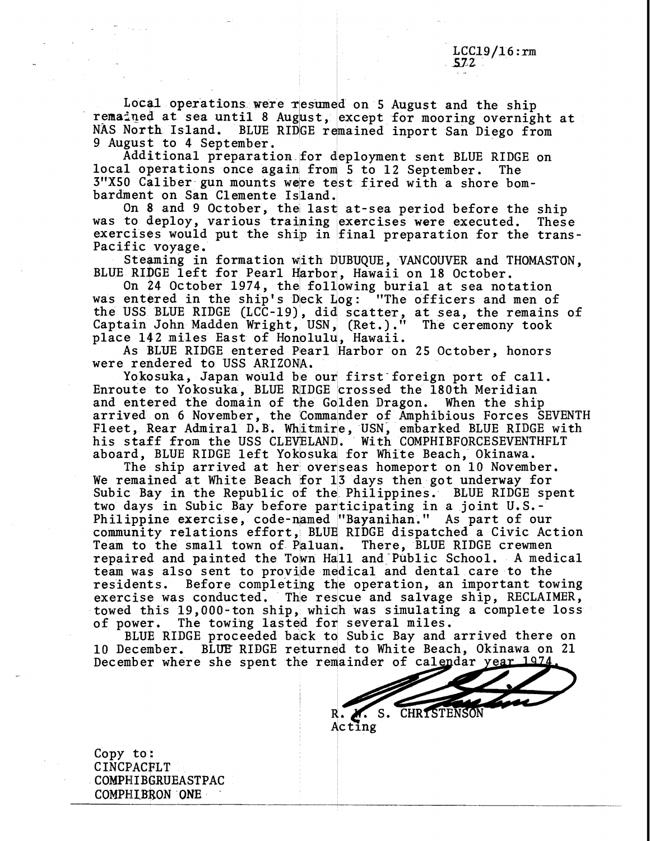Local operations were resumed on 5 August and the ship remained at sea until 8 August, except for mooring overnight at<br>NAS North Island, BLUE RIDGE remained inport San Diego from NAS North Island. BLUE RIDGE remained inport San Diego from 9 August to 4 September.

Additional preparation for deployment sent BLUE RIDGE on local operations once again from 5 to 12 September. The 3"X50 Caliber gun mounts were test fired with a shore bombardment on San Clemente Island.

On 8 and 9 October, the last at-sea period before the ship was to deploy, various training exercises were executed. These exercises would put the ship in final preparation for the trans-Pacific voyage.

Steaming in formation with DUBUQUE, VANCOUVER and THOMASTON, BLUE RIDGE left for Pearl Harbor, Hawaii on 18 October.

On 24 October 1974, the following burial at sea notation was entered in the ship's Deck Log: "The officers and men of the USS BLUE RIDGE  $(LCC-19)$ , did scatter, at sea, the remains of Captain John Madden Wright, USN, (Ret.)." The ceremony took<br>place 142 miles East of Honolulu, Hawaii.

As BLUE RIDGE entered Pearl Harbor on 25 October, honors were rendered to USS ARIZONA.

Yokosuka, Japan would be our first foreign port of call. Enroute to Yokosuka, BLUE RIIDGE crossed the 180th Meridian and entered the domain of the Golden Dragon. When the ship arrived on 6 November, the Commander of Amphibious Forces SEVENTH Fleet, Rear Admiral D.B. Whitmire, USN, embarked BLUE RIDGE with his staff from the USS CLEVELAND. With COMPHIBFORCESEVENTHFLT aboard, BLUE RIDGE left Yokpsuka for White Beach, Okinawa.

The ship arrived at her overseas homeport on 10 November. We remained at White Beach for 13 days then got underway for Subic Bay in the Republic of the Philippines. BLUE RIDGE spent two days in Subic Bay before participating in a joint U.S.-Philippine exercise, code-named "Bayanihan." As part of our community relations effort, BLUE RIDGE dispatched a Civic Action Team to the small town of Paluan. There, BLUE RIDGE crewmen Team to the small town of Paluan. There, BLUE RIDGE crewmen<br>repaired and painted the Town Hall and Public School. A medical team was also sent to provide medical and dental care to the residents. Before completing the operation, an important to residents. Before completing the operation, an important towing<br>exercise was conducted. The rescue and salvage ship, RECLAIMER, The rescue and salvage ship, RECLAIMER, towed this 19,000-ton ship, which was simulating a complete loss of power. The towing lasted for several miles. The towing lasted for several miles.

BLUE RIDGE proceeded back to Subic Bay and arrived there on 10 December. BLUE RIDGE returned to White Beach, Okinawa on 21 December where she spent the remainder of calendar year 1974

R. Z. S. CHRISTENSON

Acting

Copy to: CINCPACFLT COMPHIBGRUEASTPAC COMPHIBRON ONE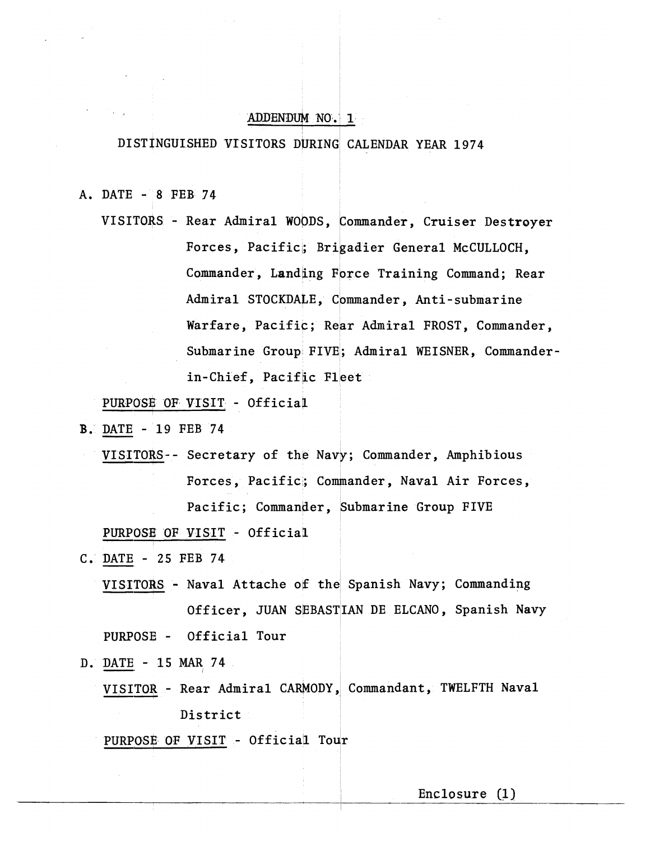# ADDENDUM NO. 1

#### **A-D**  DISTINGUISHED VISITORS DURING CALENDAR YEAR 1974

A. DATE - 8 FEB 74

VISITORS - Rear Admiral WOODS, Commander, Cruiser Destroyer Forces, Pacifici; Brigadier General McCULLOCH, Commander, Landing Force Training Command; Rear Admiral STOCKDALE, commander, Anti-submarine Warfare, Pacific; Rear Admiral FROST, Commander, Submarine Group FIVE; Admiral WEISNER, Commanderin-Chief, Pacific Fleet Commander, Landing Folce Haining Commander<br>
Mamiral STOCKDALE, Commander, Anti-subman<br>
Warfare, Pacific; Rear Admiral WEISNER, Com<br>
Submarine Group FIVE; Admiral WEISNER, Commander, Pacific<br>
PURPOSE OF VISIT - Official<br>
DA

PURPOSE OF VISIT - Official

- **B. DATE 19 FEB 74** 
	- VISITORS-- Secretary of the Navy; Commander, Amphibious Forces, Pacific; Commander, Naval Air Forces, PURPOSE OF VISIT - Official PURPOSE OF VISIT - Official<br>
	DATE - 25 FEB 74<br>
	VISITORS - Naval Attache of the Spanish Navy; Commanding
- C. DATE 25 FEB 74
	- Officer, JUAN SEBASTIAN DE ELCANO, Spanish Navy PURPOSE - Official Tour Officer, JUAN SEBASTIAN DE ELCANO, Spanish Navy<br>
	PURPOSE - Official Tour<br>
	DATE - 15 MAR 74<br>
	VISITOR - Rear Admiral CARMODY, Commandant, TWELFTH Naval<br>
	District
- D. DATE 15 MAR 74
- District DATE - IS MAR<sub>1</sub>74<br>VISITOR - Rear Admiral CARMODY,<br>District<br>PURPOSE OF VISIT - Official Tour District<br>
PURPOSE OF VISIT - Official Tour<br>
Enclosure (1)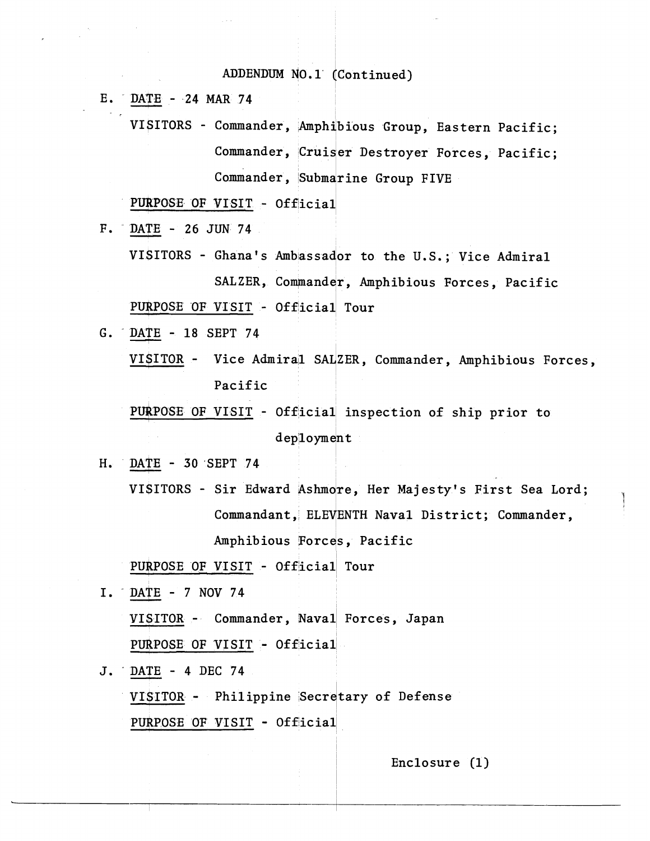## ADDENDUM NO.1 (Continued)

E. DATE - 24 MAR 74

VISITORS - Commander, Amphibious Group, Eastern Pacific; Commander, Cruiser Destroyer Forces, Pacific; Commander, Submarine Group FIVE

PURPOSE OF VISIT - Official

F. DATE - 26 JUN 74

VISITORS - Ghana's Ambassador to the U.S.; Vice Admiral SALZER, Commander, Amphibious Forces, Pacific PURPOSE OF VISIT - Official Tour

G. DATE - 18 SEPT 74

VISITOR - Vice Admiral SALZER, Commander, Amphibious Forces, Pacific

PURPOSE OF VISIT - Official inspection of ship prior to  $dep1oyment$ 

- $H_{\bullet}$ DATE - 30 SEPT 74
	- VISITORS Sir Edward Ashmore, Her Majesty's First Sea Lord; Commandant, ELEVENTH Naval District; Commander, Amphibious Forces, Pacific

PURPOSE OF VISIT - Official Tour

I. DATE - 7 NOV 74 VISITOR - Commander, Naval Forces, Japan PURPOSE OF VISIT - Official

J. DATE - 4 DEC 74 VISITOR - Philippine Secretary of Defense PURPOSE OF VISIT - Official

Enclosure  $(1)$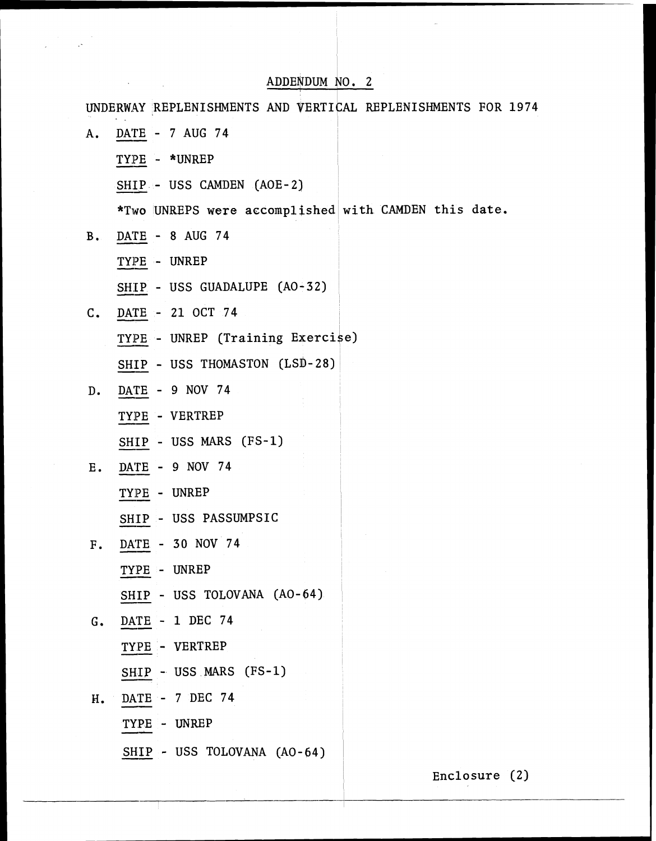# ADDENDUM NO. 2

 $\sim 10^6$ 

÷

 $\ddot{\psi}$ 

| UNDERWAY REPLENISHMENTS AND VERTICAL REPLENISHMENTS FOR 1974 |
|--------------------------------------------------------------|
| DATE - 7 AUG 74                                              |
| TYPE - *UNREP                                                |
| SHIP - USS CAMDEN (AOE-2)                                    |
| *Two UNREPS were accomplished with CAMDEN this date.         |
| DATE - 8 AUG 74<br>$B_{\bullet}$                             |
| TYPE - UNREP                                                 |
| SHIP - USS GUADALUPE (AO-32)                                 |
| DATE - 21 OCT 74                                             |
| TYPE - UNREP (Training Exercise)                             |
| SHIP - USS THOMASTON (LSD-28)                                |
| DATE - 9 NOV 74                                              |
| TYPE - VERTREP                                               |
| SHIP - USS MARS (FS-1)                                       |
| DATE - 9 NOV 74                                              |
| TYPE - UNREP                                                 |
| SHIP - USS PASSUMPSIC                                        |
| DATE - 30 NOV 74                                             |
| TYPE - UNREP                                                 |
| SHIP - USS TOLOVANA (AO-64)                                  |
| DATE - 1 DEC 74                                              |
| TYPE - VERTREP                                               |
| SHIP - USS MARS (FS-1)                                       |
| DATE - 7 DEC 74                                              |
| TYPE - UNREP                                                 |
| SHIP - USS TOLOVANA (AO-64)                                  |
|                                                              |

Enclosure (2)